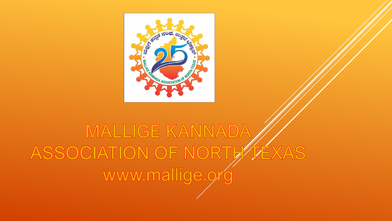

## MALLIGE KANNADA ASSOCIATION OF NORTHTEXAS www.mallige.or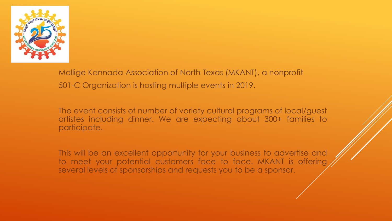

Mallige Kannada Association of North Texas (MKANT), a nonprofit 501-C Organization is hosting multiple events in 2019.

The event consists of number of variety cultural programs of local/guest artistes including dinner. We are expecting about 300+ families to participate.

This will be an excellent opportunity for your business to advertise and to meet your potential customers face to face. MKANT is offering several levels of sponsorships and requests you to be a sponsor.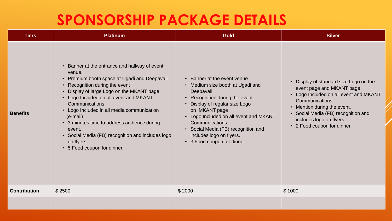## **SPONSORSHIP PACKAGE DETAILS**

| <b>Tiers</b>        | <b>Platinum</b>                                                                                                                                                                                                                                                                                                                                                                                                                                                          | <b>Gold</b>                                                                                                                                                                                                                                                                                                                 | <b>Silver</b>                                                                                                                                                                                                                                                    |
|---------------------|--------------------------------------------------------------------------------------------------------------------------------------------------------------------------------------------------------------------------------------------------------------------------------------------------------------------------------------------------------------------------------------------------------------------------------------------------------------------------|-----------------------------------------------------------------------------------------------------------------------------------------------------------------------------------------------------------------------------------------------------------------------------------------------------------------------------|------------------------------------------------------------------------------------------------------------------------------------------------------------------------------------------------------------------------------------------------------------------|
| <b>Benefits</b>     | • Banner at the entrance and hallway of event<br>venue.<br>• Premium booth space at Ugadi and Deepavali<br>• Recognition during the event<br>Display of large Logo on the MKANT page.<br>• Logo Included on all event and MKANT<br>Communications.<br>• Logo Included in all media communication<br>$(e-mail)$<br>• 3 minutes time to address audience during<br>event.<br>• Social Media (FB) recognition and includes logo<br>on flyers.<br>• 5 Food coupon for dinner | • Banner at the event venue<br>• Medium size booth at Ugadi and<br>Deepavali<br>• Recognition during the event.<br>Display of regular size Logo<br>on MKANT page<br>Logo Included on all event and MKANT<br>Communications<br>• Social Media (FB) recognition and<br>includes logo on flyers.<br>• 3 Food coupon for dinner | • Display of standard size Logo on the<br>event page and MKANT page<br>• Logo Included on all event and MKANT<br>Communications.<br>• Mention during the event.<br>• Social Media (FB) recognition and<br>includes logo on flyers.<br>• 2 Food coupon for dinner |
| <b>Contribution</b> | \$2500                                                                                                                                                                                                                                                                                                                                                                                                                                                                   | \$2000                                                                                                                                                                                                                                                                                                                      | \$1000                                                                                                                                                                                                                                                           |
|                     |                                                                                                                                                                                                                                                                                                                                                                                                                                                                          |                                                                                                                                                                                                                                                                                                                             |                                                                                                                                                                                                                                                                  |